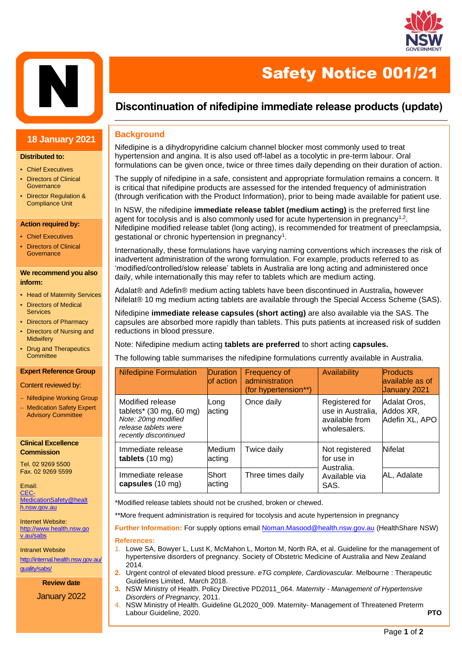



### **18 January 2021**

#### **Distributed to:**

- Chief Executives
- Directors of Clinical **Governance**
- Director Regulation & Compliance Unit

### **Action required by:**

- Chief Executives
- Directors of Clinical **Governance**

#### **We recommend you also inform:**

- Head of Maternity Services
- **Directors of Medical** Services
- Directors of Pharmacy
- Directors of Nursing and **Midwifery**
- Drug and Therapeutics **Committee**

### **Expert Reference Group**

Content reviewed by:

- − Nifedipine Working Group
- − Medication Safety Expert Advisory Committee

### **Clinical Excellence Commission**

Tel. 02 9269 5500 Fax. 02 9269 5599

Email: [CEC-](mailto:CEC-MedicationSafety@health.nsw.gov.au)[MedicationSafety@healt](mailto:CEC-MedicationSafety@health.nsw.gov.au) [h.nsw.gov.au](mailto:CEC-MedicationSafety@health.nsw.gov.au)

Internet Website: [http://www.health.nsw.go](http://www.health.nsw.gov.au/sabs) [v.au/sabs](http://www.health.nsw.gov.au/sabs)

Intranet Website [http://internal.health.nsw.gov.au/](http://internal.health.nsw.gov.au/quality/sabs/) [quality/sabs/](http://internal.health.nsw.gov.au/quality/sabs/)

**Review date**

January 2022

# **Discontinuation of nifedipine immediate release products (update)**

Safety Notice 001/21

### **Background**

Nifedipine is a dihydropyridine calcium channel blocker most commonly used to treat hypertension and angina. It is also used off-label as a tocolytic in pre-term labour. Oral formulations can be given once, twice or three times daily depending on their duration of action.

The supply of nifedipine in a safe, consistent and appropriate formulation remains a concern. It is critical that nifedipine products are assessed for the intended frequency of administration (through verification with the Product Information), prior to being made available for patient use.

In NSW, the nifedipine **immediate release tablet (medium acting)** is the preferred first line agent for tocolysis and is also commonly used for acute hypertension in pregnancy<sup>1,2</sup>. Nifedipine modified release tablet (long acting), is recommended for treatment of preeclampsia, gestational or chronic hypertension in pregnancy<sup>1</sup>.

Internationally, these formulations have varying naming conventions which increases the risk of inadvertent administration of the wrong formulation. For example, products referred to as 'modified/controlled/slow release' tablets in Australia are long acting and administered once daily, while internationally this may refer to tablets which are medium acting.

Adalat® and Adefin® medium acting tablets have been discontinued in Australia**,** however Nifelat® 10 mg medium acting tablets are available through the Special Access Scheme (SAS).

Nifedipine **immediate release capsules (short acting)** are also available via the SAS. The capsules are absorbed more rapidly than tablets. This puts patients at increased risk of sudden reductions in blood pressure.

Note: Nifedipine medium acting **tablets are preferred** to short acting **capsules.**

The following table summarises the nifedipine formulations currently available in Australia.

| <b>Nifedipine Formulation</b>                                                                                                         | <b>Duration</b><br>of action | Frequency of<br>administration<br>(for hypertension**) | <b>Availability</b>                                                   | <b>Products</b><br>available as of<br>January 2021 |
|---------------------------------------------------------------------------------------------------------------------------------------|------------------------------|--------------------------------------------------------|-----------------------------------------------------------------------|----------------------------------------------------|
| Modified release<br>tablets* $(30 \text{ mg}, 60 \text{ mg})$<br>Note: 20mg modified<br>release tablets were<br>recently discontinued | Long<br>acting               | Once daily                                             | Registered for<br>use in Australia,<br>available from<br>wholesalers. | Adalat Oros,<br>Addos XR,<br>Adefin XL, APO        |
| Immediate release<br>tablets $(10 \text{ mg})$                                                                                        | Medium<br>acting             | Twice daily                                            | Not registered<br>for use in<br>Australia.<br>Available via<br>SAS.   | <b>Nifelat</b>                                     |
| Immediate release<br>capsules (10 mg)                                                                                                 | Short<br>acting              | Three times daily                                      |                                                                       | AL, Adalate                                        |

\*Modified release tablets should not be crushed, broken or chewed.

\*\*More frequent administration is required for tocolysis and acute hypertension in pregnancy

**Further Information:** For supply options email Noman.Masood@health.nsw.gov.au (HealthShare NSW)

### **References:**

- 1. Lowe SA, Bowyer L, Lust K, McMahon L, Morton M, North RA, et al. Guideline for the management of hypertensive disorders of pregnancy. Society of Obstetric Medicine of Australia and New Zealand 2014.
- **2.** Urgent control of elevated blood pressure. *eTG complete, Cardiovascular.* Melbourne : Therapeutic Guidelines Limited, March 2018.
- **3.** NSW Ministry of Health. Policy Directive PD2011\_064. *Maternity - [Management of Hypertensive](https://www1.health.nsw.gov.au/pds/ActivePDSDocuments/PD2011_064.pdf)  [Disorders of Pregnancy,](https://www1.health.nsw.gov.au/pds/ActivePDSDocuments/PD2011_064.pdf)* 2011.
- 4. NSW Ministry of Health. Guideline GL2020\_009. Maternity- [Management of Threatened Preterm](https://www1.health.nsw.gov.au/pds/ActivePDSDocuments/GL2020_009.pdf)  [Labour Guideline,](https://www1.health.nsw.gov.au/pds/ActivePDSDocuments/GL2020_009.pdf) 2020. **PTO**

Ī